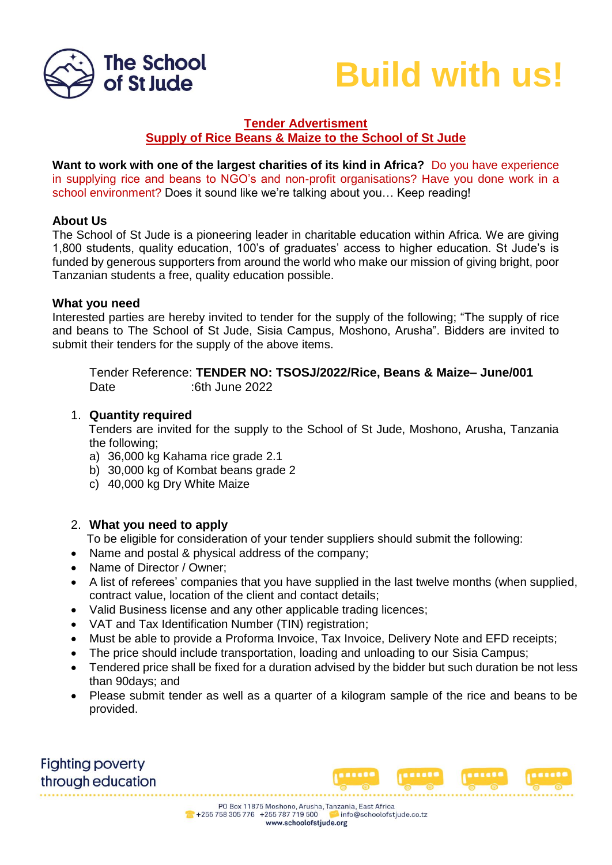



# **Tender Advertisment Supply of Rice Beans & Maize to the School of St Jude**

**Want to work with one of the largest charities of its kind in Africa?** Do you have experience in supplying rice and beans to NGO's and non-profit organisations? Have you done work in a school environment? Does it sound like we're talking about you… Keep reading!

## **About Us**

The School of St Jude is a pioneering leader in charitable education within Africa. We are giving 1,800 students, quality education, 100's of graduates' access to higher education. St Jude's is funded by generous supporters from around the world who make our mission of giving bright, poor Tanzanian students a free, quality education possible.

## **What you need**

Interested parties are hereby invited to tender for the supply of the following; "The supply of rice and beans to The School of St Jude, Sisia Campus, Moshono, Arusha". Bidders are invited to submit their tenders for the supply of the above items.

Tender Reference: **TENDER NO: TSOSJ/2022/Rice, Beans & Maize– June/001** Date :6th June 2022

## 1. **Quantity required**

Tenders are invited for the supply to the School of St Jude, Moshono, Arusha, Tanzania the following;

- a) 36,000 kg Kahama rice grade 2.1
- b) 30,000 kg of Kombat beans grade 2
- c) 40,000 kg Dry White Maize
- 2. **What you need to apply**

To be eligible for consideration of your tender suppliers should submit the following:

- Name and postal & physical address of the company;
- Name of Director / Owner;
- A list of referees' companies that you have supplied in the last twelve months (when supplied, contract value, location of the client and contact details;
- Valid Business license and any other applicable trading licences;
- VAT and Tax Identification Number (TIN) registration;
- Must be able to provide a Proforma Invoice, Tax Invoice, Delivery Note and EFD receipts;
- The price should include transportation, loading and unloading to our Sisia Campus;
- Tendered price shall be fixed for a duration advised by the bidder but such duration be not less than 90days; and
- Please submit tender as well as a quarter of a kilogram sample of the rice and beans to be provided.

**Fighting poverty** through education

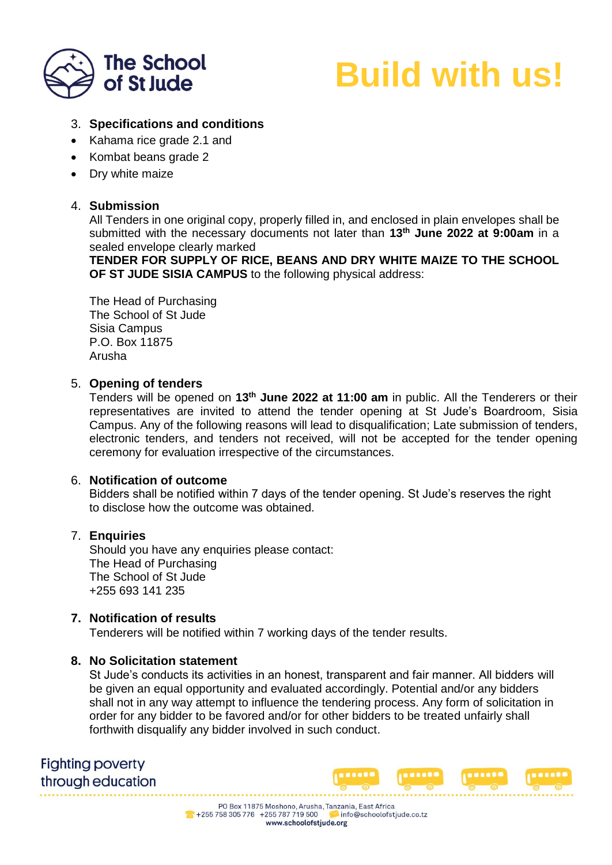

# **Build with us!**

# 3. **Specifications and conditions**

- Kahama rice grade 2.1 and
- Kombat beans grade 2
- Dry white maize

# 4. **Submission**

All Tenders in one original copy, properly filled in, and enclosed in plain envelopes shall be submitted with the necessary documents not later than **13th June 2022 at 9:00am** in a sealed envelope clearly marked

**TENDER FOR SUPPLY OF RICE, BEANS AND DRY WHITE MAIZE TO THE SCHOOL OF ST JUDE SISIA CAMPUS** to the following physical address:

The Head of Purchasing The School of St Jude Sisia Campus P.O. Box 11875 Arusha

## 5. **Opening of tenders**

Tenders will be opened on **13th June 2022 at 11:00 am** in public. All the Tenderers or their representatives are invited to attend the tender opening at St Jude's Boardroom, Sisia Campus. Any of the following reasons will lead to disqualification; Late submission of tenders, electronic tenders, and tenders not received, will not be accepted for the tender opening ceremony for evaluation irrespective of the circumstances.

#### 6. **Notification of outcome**

Bidders shall be notified within 7 days of the tender opening. St Jude's reserves the right to disclose how the outcome was obtained.

# 7. **Enquiries**

Should you have any enquiries please contact: The Head of Purchasing The School of St Jude +255 693 141 235

# **7. Notification of results**

Tenderers will be notified within 7 working days of the tender results.

# **8. No Solicitation statement**

St Jude's conducts its activities in an honest, transparent and fair manner. All bidders will be given an equal opportunity and evaluated accordingly. Potential and/or any bidders shall not in any way attempt to influence the tendering process. Any form of solicitation in order for any bidder to be favored and/or for other bidders to be treated unfairly shall forthwith disqualify any bidder involved in such conduct.

**Fighting poverty** through education